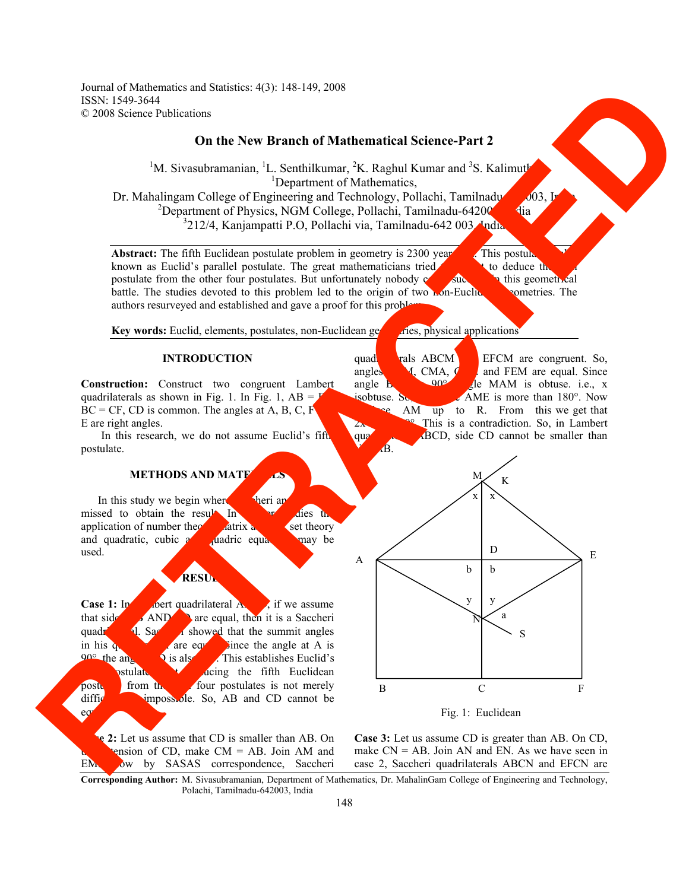Journal of Mathematics and Statistics: 4(3): 148-149, 2008 ISSN: 1549-3644 © 2008 Science Publications

# **On the New Branch of Mathematical Science-Part 2**

<sup>1</sup>M. Sivasubramanian, <sup>1</sup>L. Senthilkumar, <sup>2</sup>K. Raghul Kumar and <sup>3</sup>S. Kalimuth <sup>1</sup>Department of Mathematics, Dr. Mahalingam College of Engineering and Technology, Pollachi, Tamilnadu $\bigcirc$ 603, Indianalu-642003, Indianalu-6 <sup>2</sup>Department of Physics, NGM College, Pollachi, Tamilnadu-64200<sup>1</sup> <sup>3</sup>212/4, Kanjampatti P.O, Pollachi via, Tamilnadu-642 003, India.

**Abstract:** The fifth Euclidean postulate problem in geometry is 2300 years of This postulate is also very set of the interval of the issue of the interval of the issue of the issue of the issue of the issue of the issue o known as Euclid's parallel postulate. The great mathematicians tried  $\epsilon$  to deduce the postulate from the other four postulates. But unfortunately nobody  $\sim$  succeed in this geometrical battle. The studies devoted to this problem led to the origin of two **non-Euclidean geometries**. The authors resurveyed and established and gave a proof for this problem.

**Key words:** Euclid, elements, postulates, non-Euclidean geometries, physical applications

#### **INTRODUCTION**

**Construction:** Construct two congruent Lambert quadrilaterals as shown in Fig. 1. In Fig. 1,  $AB = I$  $BC = CF$ , CD is common. The angles at A, B, C, F E are right angles.

In this research, we do not assume Euclid's fifth postulate.

# **METHODS AND MATE**

In this study we begin where  $\blacksquare$  Sheri and Lambert and Lambert and Lambert and Lambert and Lambert and Lambert and Lambert and Lambert and Lambert and Lambert and Lambert and Lambert and Lambert and Lambert and Lambert missed to obtain the result. In  $\frac{1}{10}$  further studies the application of number theorem at the set theory application of number theory,  $\frac{1}{\sqrt{2}}$  and  $\frac{1}{\sqrt{2}}$  and  $\frac{1}{\sqrt{2}}$  and  $\frac{1}{\sqrt{2}}$  and  $\frac{1}{\sqrt{2}}$  and  $\frac{1}{\sqrt{2}}$  and  $\frac{1}{\sqrt{2}}$  and  $\frac{1}{\sqrt{2}}$  and  $\frac{1}{\sqrt{2}}$  and  $\frac{1}{\sqrt{2}}$  and  $\frac{1}{\sqrt{2}}$  and  $\frac{$ and quadratic, cubic  $\alpha$  diadric equations may be used.

# **RESUL**

**Case 1:** In Lot **Later and ABCD**, if we assume that side  $\overrightarrow{AND}$  are equal, then it is a Saccheri quadr<sup>1</sup> **q**. Saccheri showed that the summit angles in his  $q_1$  are equal. Since the angle at A is  $q_0$  the angle at A is stablishes Euclid's . This establishes Euclid's  ${\bf b}$ stulate. But deing the fifth Euclidean postulates is not merely difficult but impossible. So, AB and CD cannot be eq

EM. Now by SASAS correspondence, Saccheri

**Case 2:** Let us assume that CD is smaller than AB. On ension of CD, make  $CM = AB$ . Join AM and

quadrilaterals ABCM and EFCM are congruent. So, angles  $\begin{array}{c} \mathcal{A}, \text{ CMA}, \mathcal{G} \end{array}$  and FEM are equal. Since angle **b** 902 angle  $\mathbf{b}$ , **90°**, **c** MAM is obtuse. i.e., x isobtuse. So, the angle AME is more than  $180^\circ$ . Now AM up to R. From this we get that This is a contradiction. So, in Lambert quadrilateral ABCD, side CD cannot be smaller than  $\hat{\mathbf{B}}$ .





**Case 3:** Let us assume CD is greater than AB. On CD, case 2, Saccheri quadrilaterals ABCN and EFCN are

**Corresponding Author:** M. Sivasubramanian, Department of Mathematics, Dr. MahalinGam College of Engineering and Technology, Polachi, Tamilnadu-642003, India